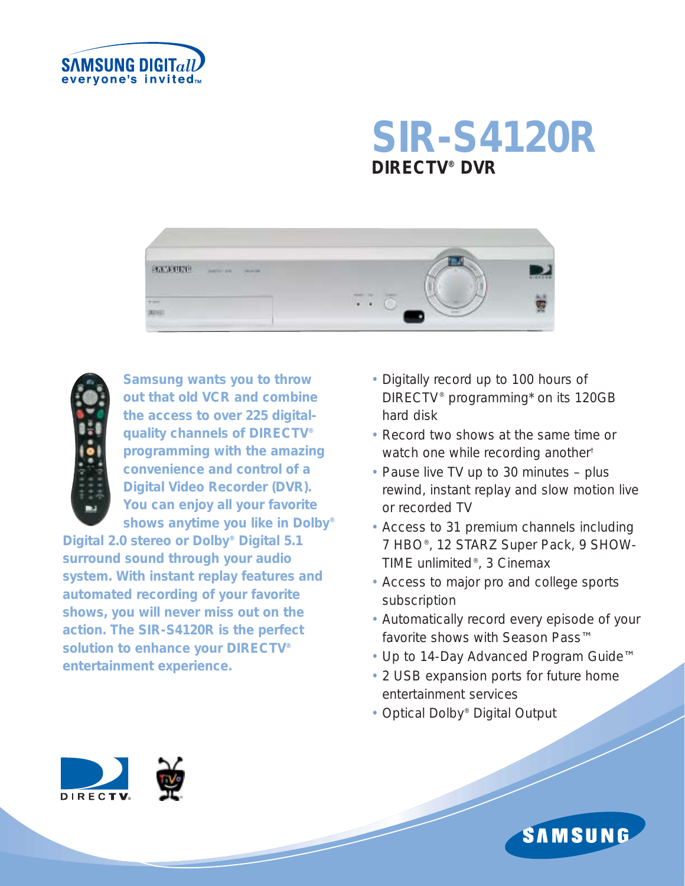

# **SIR-S4120R DIRECTV® DVR**





*Samsung wants you to throw out that old VCR and combine the access to over 225 digitalquality channels of DIRECTV® programming with the amazing convenience and control of a Digital Video Recorder (DVR). You can enjoy all your favorite shows anytime you like in Dolby®*

*Digital 2.0 stereo or Dolby® Digital 5.1 surround sound through your audio system. With instant replay features and automated recording of your favorite shows, you will never miss out on the action. The SIR-S4120R is the perfect solution to enhance your DIRECTV® entertainment experience.*

- Digitally record up to 100 hours of DIRECTV® programming\* on its 120GB hard disk
- Record two shows at the same time or watch one while recording another<sup>†</sup>
- Pause live TV up to 30 minutes plus rewind, instant replay and slow motion live or recorded TV
- Access to 31 premium channels including 7 HBO®, 12 STARZ Super Pack, 9 SHOW-TIME unlimited®, 3 Cinemax
- Access to major pro and college sports subscription
- Automatically record every episode of your favorite shows with Season Pass™
- Up to 14-Day Advanced Program Guide™
- 2 USB expansion ports for future home entertainment services
- Optical Dolby® Digital Output